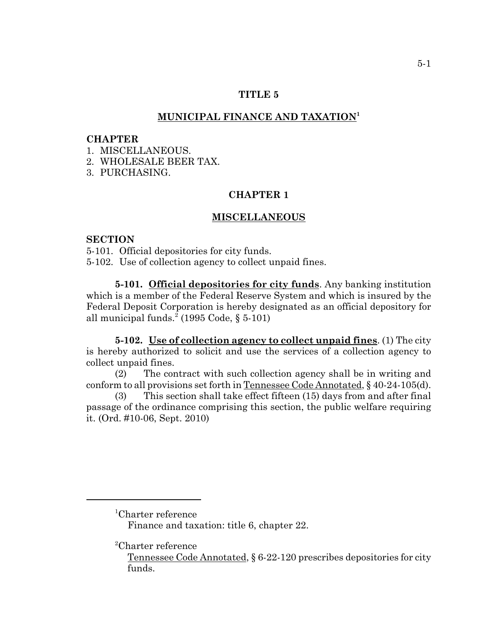### **TITLE 5**

# **MUNICIPAL FINANCE AND TAXATION1**

#### **CHAPTER**

1. MISCELLANEOUS.

2. WHOLESALE BEER TAX.

3. PURCHASING.

# **CHAPTER 1**

#### **MISCELLANEOUS**

## **SECTION**

5-101. Official depositories for city funds.

5-102. Use of collection agency to collect unpaid fines.

**5-101. Official depositories for city funds**. Any banking institution which is a member of the Federal Reserve System and which is insured by the Federal Deposit Corporation is hereby designated as an official depository for all municipal funds.<sup>2</sup> (1995 Code, § 5-101)

**5-102. Use of collection agency to collect unpaid fines**. (1) The city is hereby authorized to solicit and use the services of a collection agency to collect unpaid fines.

(2) The contract with such collection agency shall be in writing and conform to all provisions set forth in Tennessee Code Annotated, § 40-24-105(d).

(3) This section shall take effect fifteen (15) days from and after final passage of the ordinance comprising this section, the public welfare requiring it. (Ord. #10-06, Sept. 2010)

1 Charter reference

Finance and taxation: title 6, chapter 22.

2 Charter reference

Tennessee Code Annotated, § 6-22-120 prescribes depositories for city funds.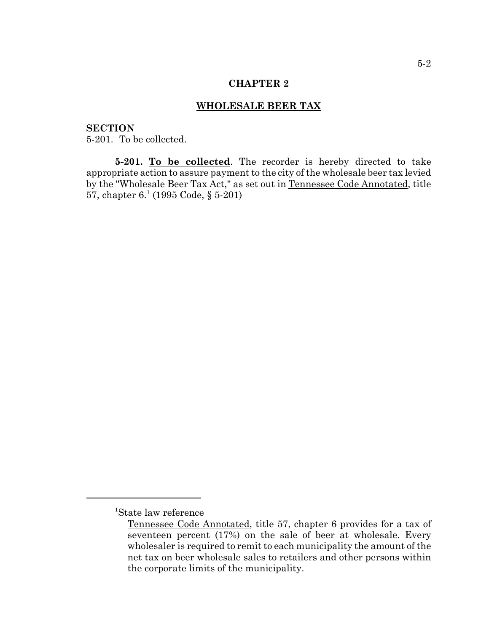### **CHAPTER 2**

## **WHOLESALE BEER TAX**

# **SECTION**

5-201. To be collected.

**5-201. To be collected**. The recorder is hereby directed to take appropriate action to assure payment to the city of the wholesale beer tax levied by the "Wholesale Beer Tax Act," as set out in Tennessee Code Annotated, title 57, chapter  $6.1$  (1995 Code, § 5-201)

<sup>1</sup> State law reference

Tennessee Code Annotated, title 57, chapter 6 provides for a tax of seventeen percent (17%) on the sale of beer at wholesale. Every wholesaler is required to remit to each municipality the amount of the net tax on beer wholesale sales to retailers and other persons within the corporate limits of the municipality.